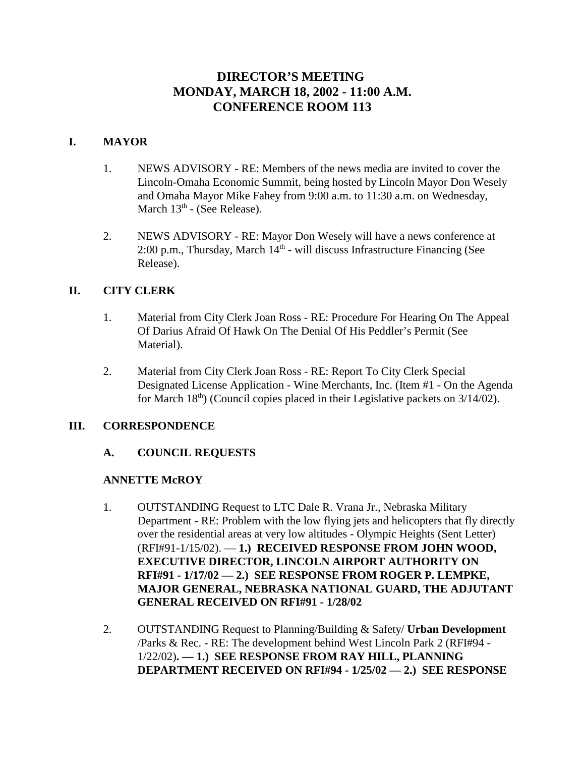# **DIRECTOR'S MEETING MONDAY, MARCH 18, 2002 - 11:00 A.M. CONFERENCE ROOM 113**

# **I. MAYOR**

- 1. NEWS ADVISORY RE: Members of the news media are invited to cover the Lincoln-Omaha Economic Summit, being hosted by Lincoln Mayor Don Wesely and Omaha Mayor Mike Fahey from 9:00 a.m. to 11:30 a.m. on Wednesday, March  $13<sup>th</sup>$  - (See Release).
- 2. NEWS ADVISORY RE: Mayor Don Wesely will have a news conference at 2:00 p.m., Thursday, March  $14<sup>th</sup>$  - will discuss Infrastructure Financing (See Release).

# **II. CITY CLERK**

- 1. Material from City Clerk Joan Ross RE: Procedure For Hearing On The Appeal Of Darius Afraid Of Hawk On The Denial Of His Peddler's Permit (See Material).
- 2. Material from City Clerk Joan Ross RE: Report To City Clerk Special Designated License Application - Wine Merchants, Inc. (Item #1 - On the Agenda for March  $18<sup>th</sup>$ ) (Council copies placed in their Legislative packets on  $3/14/02$ ).

## **III. CORRESPONDENCE**

## **A. COUNCIL REQUESTS**

## **ANNETTE McROY**

- 1. OUTSTANDING Request to LTC Dale R. Vrana Jr., Nebraska Military Department - RE: Problem with the low flying jets and helicopters that fly directly over the residential areas at very low altitudes - Olympic Heights (Sent Letter) (RFI#91-1/15/02). — **1.) RECEIVED RESPONSE FROM JOHN WOOD, EXECUTIVE DIRECTOR, LINCOLN AIRPORT AUTHORITY ON RFI#91 - 1/17/02 — 2.) SEE RESPONSE FROM ROGER P. LEMPKE, MAJOR GENERAL, NEBRASKA NATIONAL GUARD, THE ADJUTANT GENERAL RECEIVED ON RFI#91 - 1/28/02**
- 2. OUTSTANDING Request to Planning/Building & Safety/ **Urban Development** /Parks & Rec. - RE: The development behind West Lincoln Park 2 (RFI#94 - 1/22/02)**. — 1.) SEE RESPONSE FROM RAY HILL, PLANNING DEPARTMENT RECEIVED ON RFI#94 - 1/25/02 — 2.) SEE RESPONSE**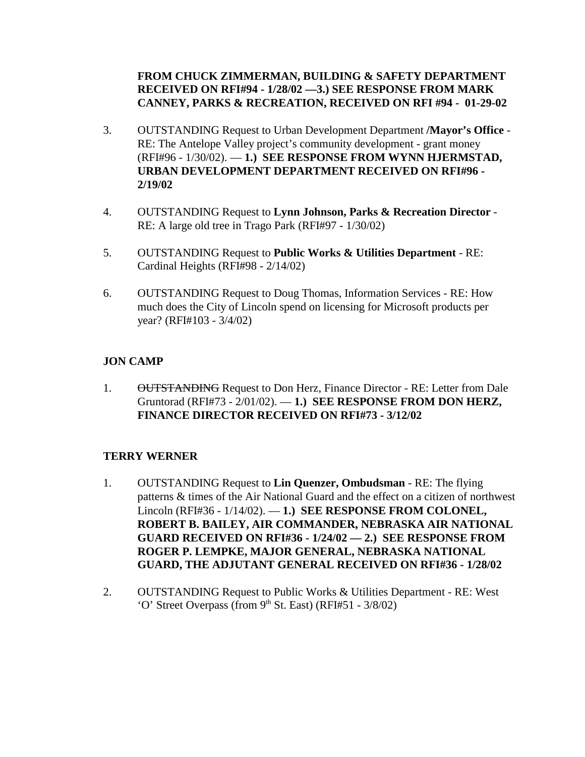# **FROM CHUCK ZIMMERMAN, BUILDING & SAFETY DEPARTMENT RECEIVED ON RFI#94 - 1/28/02 —3.) SEE RESPONSE FROM MARK CANNEY, PARKS & RECREATION, RECEIVED ON RFI #94 - 01-29-02**

- 3. OUTSTANDING Request to Urban Development Department **/Mayor's Office** RE: The Antelope Valley project's community development - grant money (RFI#96 - 1/30/02). — **1.) SEE RESPONSE FROM WYNN HJERMSTAD, URBAN DEVELOPMENT DEPARTMENT RECEIVED ON RFI#96 - 2/19/02**
- 4. OUTSTANDING Request to **Lynn Johnson, Parks & Recreation Director** RE: A large old tree in Trago Park (RFI#97 - 1/30/02)
- 5. OUTSTANDING Request to **Public Works & Utilities Department** RE: Cardinal Heights (RFI#98 - 2/14/02)
- 6. OUTSTANDING Request to Doug Thomas, Information Services RE: How much does the City of Lincoln spend on licensing for Microsoft products per year? (RFI#103 - 3/4/02)

# **JON CAMP**

1. OUTSTANDING Request to Don Herz, Finance Director - RE: Letter from Dale Gruntorad (RFI#73 - 2/01/02). — **1.) SEE RESPONSE FROM DON HERZ, FINANCE DIRECTOR RECEIVED ON RFI#73 - 3/12/02**

## **TERRY WERNER**

- 1. OUTSTANDING Request to **Lin Quenzer, Ombudsman** RE: The flying patterns & times of the Air National Guard and the effect on a citizen of northwest Lincoln (RFI#36 - 1/14/02). — **1.) SEE RESPONSE FROM COLONEL, ROBERT B. BAILEY, AIR COMMANDER, NEBRASKA AIR NATIONAL GUARD RECEIVED ON RFI#36 - 1/24/02 — 2.) SEE RESPONSE FROM ROGER P. LEMPKE, MAJOR GENERAL, NEBRASKA NATIONAL GUARD, THE ADJUTANT GENERAL RECEIVED ON RFI#36 - 1/28/02**
- 2. OUTSTANDING Request to Public Works & Utilities Department RE: West 'O' Street Overpass (from  $9<sup>th</sup>$  St. East) (RFI#51 - 3/8/02)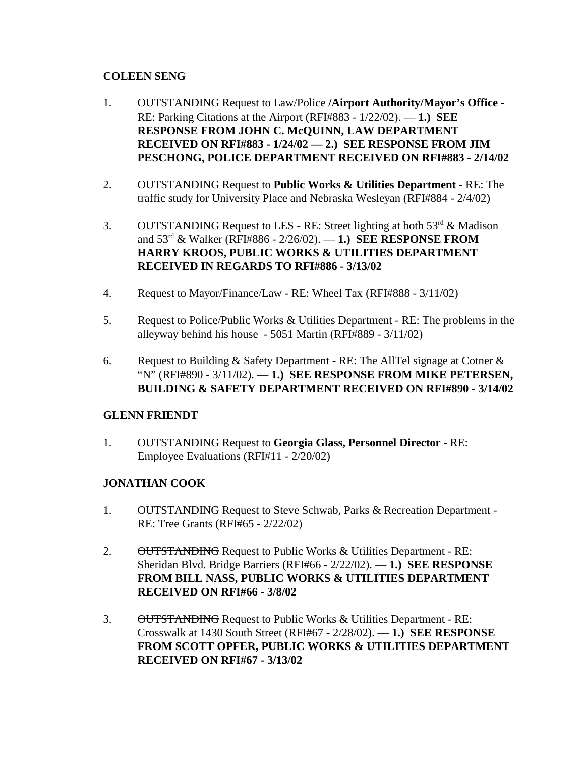# **COLEEN SENG**

- 1. OUTSTANDING Request to Law/Police **/Airport Authority/Mayor's Office** RE: Parking Citations at the Airport (RFI#883 - 1/22/02). — **1.) SEE RESPONSE FROM JOHN C. McQUINN, LAW DEPARTMENT RECEIVED ON RFI#883 - 1/24/02 — 2.) SEE RESPONSE FROM JIM PESCHONG, POLICE DEPARTMENT RECEIVED ON RFI#883 - 2/14/02**
- 2. OUTSTANDING Request to **Public Works & Utilities Department** RE: The traffic study for University Place and Nebraska Wesleyan (RFI#884 - 2/4/02)
- 3. OUTSTANDING Request to LES RE: Street lighting at both  $53^{\text{rd}}$  & Madison and 53rd & Walker (RFI#886 - 2/26/02). — **1.) SEE RESPONSE FROM HARRY KROOS, PUBLIC WORKS & UTILITIES DEPARTMENT RECEIVED IN REGARDS TO RFI#886 - 3/13/02**
- 4. Request to Mayor/Finance/Law RE: Wheel Tax (RFI#888 3/11/02)
- 5. Request to Police/Public Works & Utilities Department RE: The problems in the alleyway behind his house - 5051 Martin (RFI#889 - 3/11/02)
- 6. Request to Building & Safety Department RE: The AllTel signage at Cotner  $\&$ "N" (RFI#890 - 3/11/02). — **1.) SEE RESPONSE FROM MIKE PETERSEN, BUILDING & SAFETY DEPARTMENT RECEIVED ON RFI#890 - 3/14/02**

# **GLENN FRIENDT**

1. OUTSTANDING Request to **Georgia Glass, Personnel Director** - RE: Employee Evaluations (RFI#11 - 2/20/02)

# **JONATHAN COOK**

- 1. OUTSTANDING Request to Steve Schwab, Parks & Recreation Department RE: Tree Grants (RFI#65 - 2/22/02)
- 2. OUTSTANDING Request to Public Works & Utilities Department RE: Sheridan Blvd. Bridge Barriers (RFI#66 - 2/22/02). — **1.) SEE RESPONSE FROM BILL NASS, PUBLIC WORKS & UTILITIES DEPARTMENT RECEIVED ON RFI#66 - 3/8/02**
- 3. OUTSTANDING Request to Public Works & Utilities Department RE: Crosswalk at 1430 South Street (RFI#67 - 2/28/02). — **1.) SEE RESPONSE FROM SCOTT OPFER, PUBLIC WORKS & UTILITIES DEPARTMENT RECEIVED ON RFI#67 - 3/13/02**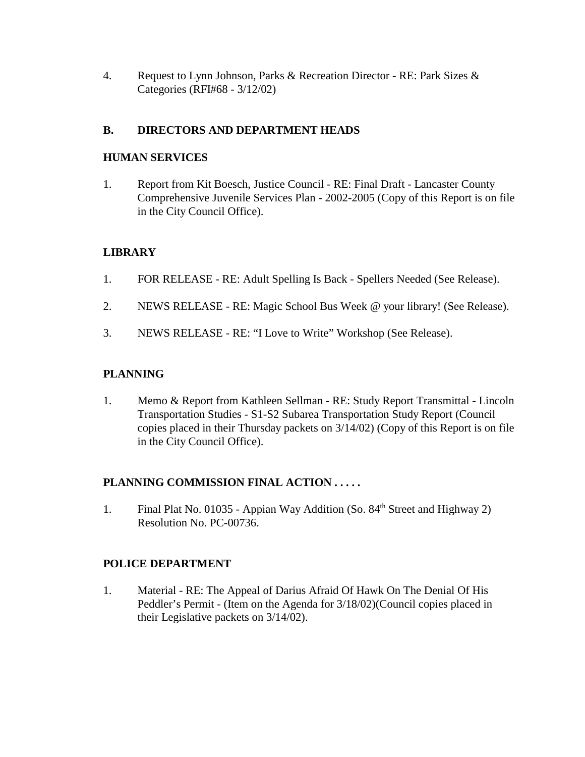4. Request to Lynn Johnson, Parks & Recreation Director - RE: Park Sizes & Categories (RFI#68 - 3/12/02)

# **B. DIRECTORS AND DEPARTMENT HEADS**

## **HUMAN SERVICES**

1. Report from Kit Boesch, Justice Council - RE: Final Draft - Lancaster County Comprehensive Juvenile Services Plan - 2002-2005 (Copy of this Report is on file in the City Council Office).

# **LIBRARY**

- 1. FOR RELEASE RE: Adult Spelling Is Back Spellers Needed (See Release).
- 2. NEWS RELEASE RE: Magic School Bus Week @ your library! (See Release).
- 3. NEWS RELEASE RE: "I Love to Write" Workshop (See Release).

# **PLANNING**

1. Memo & Report from Kathleen Sellman - RE: Study Report Transmittal - Lincoln Transportation Studies - S1-S2 Subarea Transportation Study Report (Council copies placed in their Thursday packets on 3/14/02) (Copy of this Report is on file in the City Council Office).

## **PLANNING COMMISSION FINAL ACTION . . . . .**

1. Final Plat No. 01035 - Appian Way Addition (So. 84<sup>th</sup> Street and Highway 2) Resolution No. PC-00736.

## **POLICE DEPARTMENT**

1. Material - RE: The Appeal of Darius Afraid Of Hawk On The Denial Of His Peddler's Permit - (Item on the Agenda for 3/18/02)(Council copies placed in their Legislative packets on 3/14/02).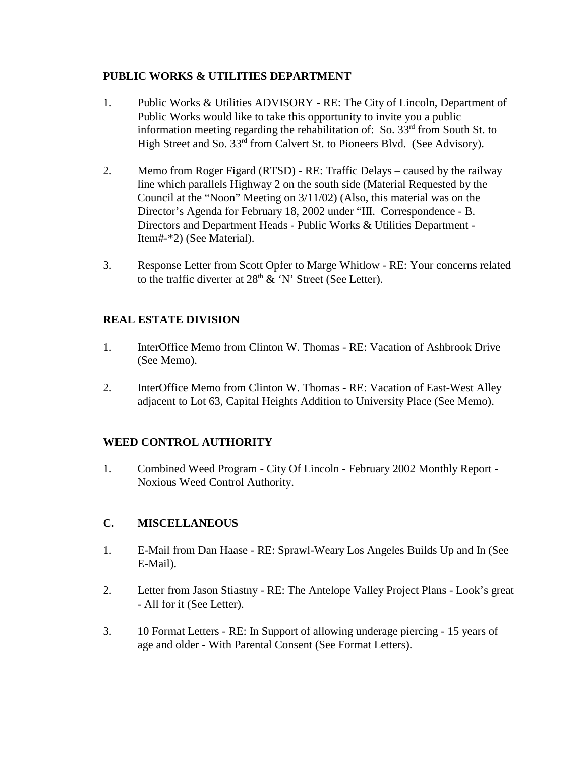## **PUBLIC WORKS & UTILITIES DEPARTMENT**

- 1. Public Works & Utilities ADVISORY RE: The City of Lincoln, Department of Public Works would like to take this opportunity to invite you a public information meeting regarding the rehabilitation of: So.  $33<sup>rd</sup>$  from South St. to High Street and So. 33rd from Calvert St. to Pioneers Blvd. (See Advisory).
- 2. Memo from Roger Figard (RTSD) RE: Traffic Delays caused by the railway line which parallels Highway 2 on the south side (Material Requested by the Council at the "Noon" Meeting on 3/11/02) (Also, this material was on the Director's Agenda for February 18, 2002 under "III. Correspondence - B. Directors and Department Heads - Public Works & Utilities Department - Item#-\*2) (See Material).
- 3. Response Letter from Scott Opfer to Marge Whitlow RE: Your concerns related to the traffic diverter at  $28<sup>th</sup>$  & 'N' Street (See Letter).

# **REAL ESTATE DIVISION**

- 1. InterOffice Memo from Clinton W. Thomas RE: Vacation of Ashbrook Drive (See Memo).
- 2. InterOffice Memo from Clinton W. Thomas RE: Vacation of East-West Alley adjacent to Lot 63, Capital Heights Addition to University Place (See Memo).

# **WEED CONTROL AUTHORITY**

1. Combined Weed Program - City Of Lincoln - February 2002 Monthly Report - Noxious Weed Control Authority.

# **C. MISCELLANEOUS**

- 1. E-Mail from Dan Haase RE: Sprawl-Weary Los Angeles Builds Up and In (See E-Mail).
- 2. Letter from Jason Stiastny RE: The Antelope Valley Project Plans Look's great - All for it (See Letter).
- 3. 10 Format Letters RE: In Support of allowing underage piercing 15 years of age and older - With Parental Consent (See Format Letters).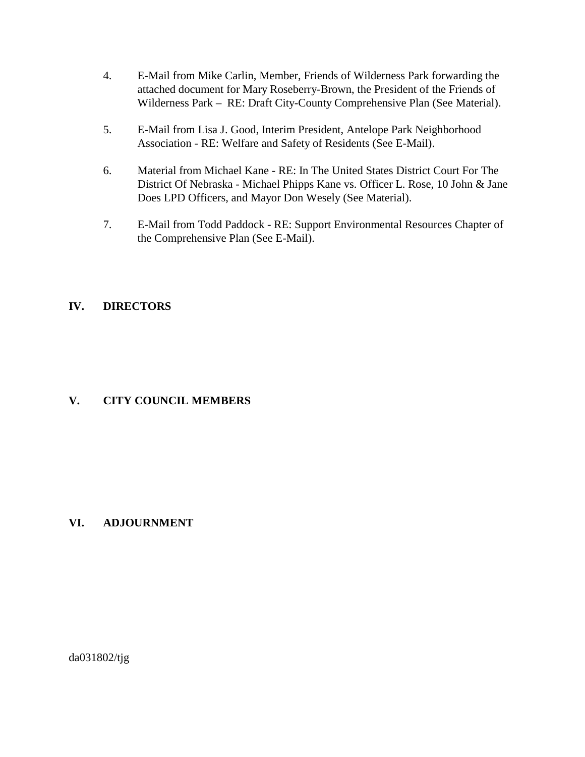- 4. E-Mail from Mike Carlin, Member, Friends of Wilderness Park forwarding the attached document for Mary Roseberry-Brown, the President of the Friends of Wilderness Park – RE: Draft City-County Comprehensive Plan (See Material).
- 5. E-Mail from Lisa J. Good, Interim President, Antelope Park Neighborhood Association - RE: Welfare and Safety of Residents (See E-Mail).
- 6. Material from Michael Kane RE: In The United States District Court For The District Of Nebraska - Michael Phipps Kane vs. Officer L. Rose, 10 John & Jane Does LPD Officers, and Mayor Don Wesely (See Material).
- 7. E-Mail from Todd Paddock RE: Support Environmental Resources Chapter of the Comprehensive Plan (See E-Mail).

## **IV. DIRECTORS**

## **V. CITY COUNCIL MEMBERS**

## **VI. ADJOURNMENT**

da031802/tjg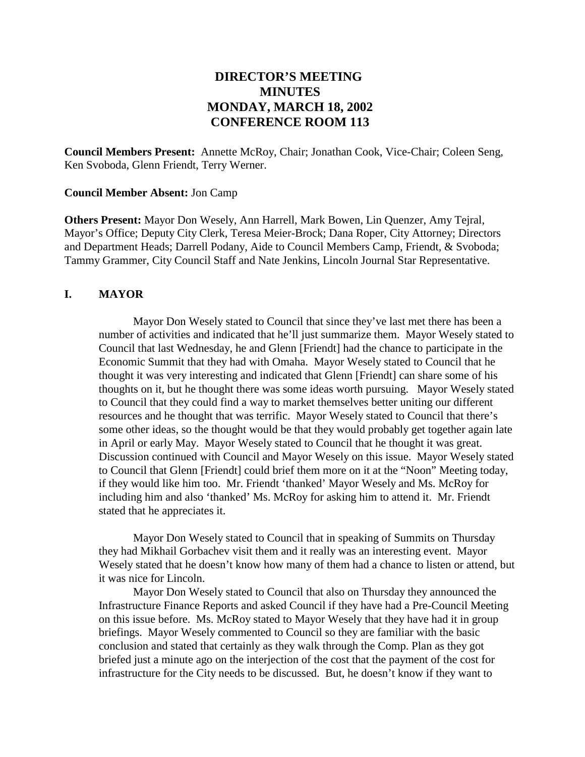# **DIRECTOR'S MEETING MINUTES MONDAY, MARCH 18, 2002 CONFERENCE ROOM 113**

**Council Members Present:** Annette McRoy, Chair; Jonathan Cook, Vice-Chair; Coleen Seng, Ken Svoboda, Glenn Friendt, Terry Werner.

#### **Council Member Absent:** Jon Camp

**Others Present:** Mayor Don Wesely, Ann Harrell, Mark Bowen, Lin Quenzer, Amy Tejral, Mayor's Office; Deputy City Clerk, Teresa Meier-Brock; Dana Roper, City Attorney; Directors and Department Heads; Darrell Podany, Aide to Council Members Camp, Friendt, & Svoboda; Tammy Grammer, City Council Staff and Nate Jenkins, Lincoln Journal Star Representative.

## **I. MAYOR**

Mayor Don Wesely stated to Council that since they've last met there has been a number of activities and indicated that he'll just summarize them. Mayor Wesely stated to Council that last Wednesday, he and Glenn [Friendt] had the chance to participate in the Economic Summit that they had with Omaha. Mayor Wesely stated to Council that he thought it was very interesting and indicated that Glenn [Friendt] can share some of his thoughts on it, but he thought there was some ideas worth pursuing. Mayor Wesely stated to Council that they could find a way to market themselves better uniting our different resources and he thought that was terrific. Mayor Wesely stated to Council that there's some other ideas, so the thought would be that they would probably get together again late in April or early May. Mayor Wesely stated to Council that he thought it was great. Discussion continued with Council and Mayor Wesely on this issue. Mayor Wesely stated to Council that Glenn [Friendt] could brief them more on it at the "Noon" Meeting today, if they would like him too. Mr. Friendt 'thanked' Mayor Wesely and Ms. McRoy for including him and also 'thanked' Ms. McRoy for asking him to attend it. Mr. Friendt stated that he appreciates it.

Mayor Don Wesely stated to Council that in speaking of Summits on Thursday they had Mikhail Gorbachev visit them and it really was an interesting event. Mayor Wesely stated that he doesn't know how many of them had a chance to listen or attend, but it was nice for Lincoln.

Mayor Don Wesely stated to Council that also on Thursday they announced the Infrastructure Finance Reports and asked Council if they have had a Pre-Council Meeting on this issue before. Ms. McRoy stated to Mayor Wesely that they have had it in group briefings. Mayor Wesely commented to Council so they are familiar with the basic conclusion and stated that certainly as they walk through the Comp. Plan as they got briefed just a minute ago on the interjection of the cost that the payment of the cost for infrastructure for the City needs to be discussed. But, he doesn't know if they want to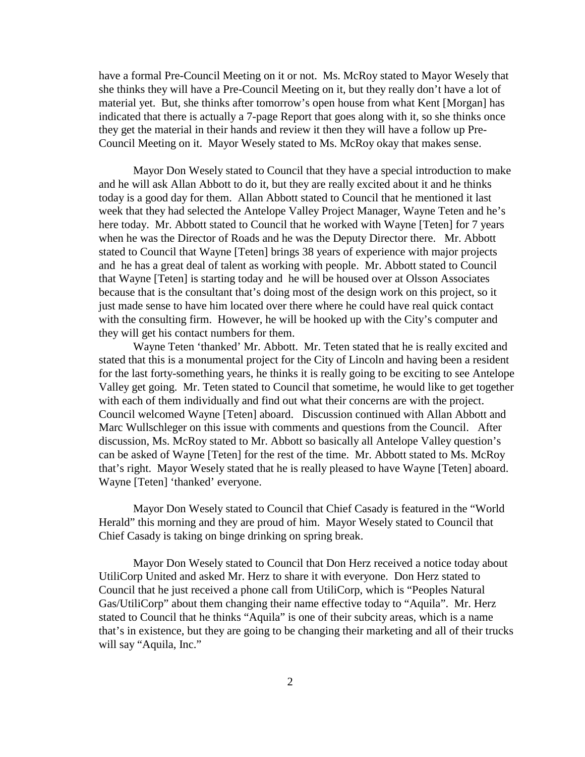have a formal Pre-Council Meeting on it or not. Ms. McRoy stated to Mayor Wesely that she thinks they will have a Pre-Council Meeting on it, but they really don't have a lot of material yet. But, she thinks after tomorrow's open house from what Kent [Morgan] has indicated that there is actually a 7-page Report that goes along with it, so she thinks once they get the material in their hands and review it then they will have a follow up Pre-Council Meeting on it. Mayor Wesely stated to Ms. McRoy okay that makes sense.

Mayor Don Wesely stated to Council that they have a special introduction to make and he will ask Allan Abbott to do it, but they are really excited about it and he thinks today is a good day for them. Allan Abbott stated to Council that he mentioned it last week that they had selected the Antelope Valley Project Manager, Wayne Teten and he's here today. Mr. Abbott stated to Council that he worked with Wayne [Teten] for 7 years when he was the Director of Roads and he was the Deputy Director there. Mr. Abbott stated to Council that Wayne [Teten] brings 38 years of experience with major projects and he has a great deal of talent as working with people. Mr. Abbott stated to Council that Wayne [Teten] is starting today and he will be housed over at Olsson Associates because that is the consultant that's doing most of the design work on this project, so it just made sense to have him located over there where he could have real quick contact with the consulting firm. However, he will be hooked up with the City's computer and they will get his contact numbers for them.

Wayne Teten 'thanked' Mr. Abbott. Mr. Teten stated that he is really excited and stated that this is a monumental project for the City of Lincoln and having been a resident for the last forty-something years, he thinks it is really going to be exciting to see Antelope Valley get going. Mr. Teten stated to Council that sometime, he would like to get together with each of them individually and find out what their concerns are with the project. Council welcomed Wayne [Teten] aboard. Discussion continued with Allan Abbott and Marc Wullschleger on this issue with comments and questions from the Council. After discussion, Ms. McRoy stated to Mr. Abbott so basically all Antelope Valley question's can be asked of Wayne [Teten] for the rest of the time. Mr. Abbott stated to Ms. McRoy that's right. Mayor Wesely stated that he is really pleased to have Wayne [Teten] aboard. Wayne [Teten] 'thanked' everyone.

Mayor Don Wesely stated to Council that Chief Casady is featured in the "World Herald" this morning and they are proud of him. Mayor Wesely stated to Council that Chief Casady is taking on binge drinking on spring break.

Mayor Don Wesely stated to Council that Don Herz received a notice today about UtiliCorp United and asked Mr. Herz to share it with everyone. Don Herz stated to Council that he just received a phone call from UtiliCorp, which is "Peoples Natural Gas/UtiliCorp" about them changing their name effective today to "Aquila". Mr. Herz stated to Council that he thinks "Aquila" is one of their subcity areas, which is a name that's in existence, but they are going to be changing their marketing and all of their trucks will say "Aquila, Inc."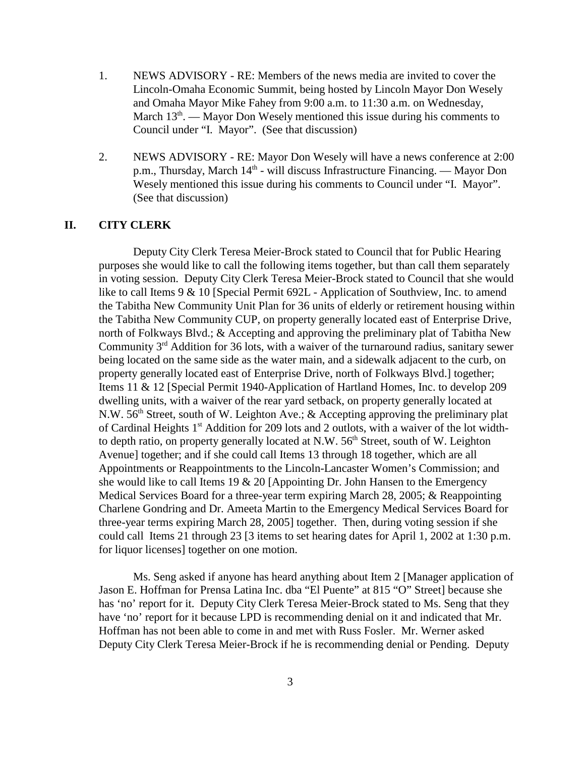- 1. NEWS ADVISORY RE: Members of the news media are invited to cover the Lincoln-Omaha Economic Summit, being hosted by Lincoln Mayor Don Wesely and Omaha Mayor Mike Fahey from 9:00 a.m. to 11:30 a.m. on Wednesday, March  $13<sup>th</sup>$ . — Mayor Don Wesely mentioned this issue during his comments to Council under "I. Mayor". (See that discussion)
- 2. NEWS ADVISORY RE: Mayor Don Wesely will have a news conference at 2:00 p.m., Thursday, March 14<sup>th</sup> - will discuss Infrastructure Financing. — Mayor Don Wesely mentioned this issue during his comments to Council under "I. Mayor". (See that discussion)

#### **II. CITY CLERK**

Deputy City Clerk Teresa Meier-Brock stated to Council that for Public Hearing purposes she would like to call the following items together, but than call them separately in voting session. Deputy City Clerk Teresa Meier-Brock stated to Council that she would like to call Items 9 & 10 [Special Permit 692L - Application of Southview, Inc. to amend the Tabitha New Community Unit Plan for 36 units of elderly or retirement housing within the Tabitha New Community CUP, on property generally located east of Enterprise Drive, north of Folkways Blvd.; & Accepting and approving the preliminary plat of Tabitha New Community  $3<sup>rd</sup>$  Addition for 36 lots, with a waiver of the turnaround radius, sanitary sewer being located on the same side as the water main, and a sidewalk adjacent to the curb, on property generally located east of Enterprise Drive, north of Folkways Blvd.] together; Items 11 & 12 [Special Permit 1940-Application of Hartland Homes, Inc. to develop 209 dwelling units, with a waiver of the rear yard setback, on property generally located at N.W. 56<sup>th</sup> Street, south of W. Leighton Ave.; & Accepting approving the preliminary plat of Cardinal Heights  $1<sup>st</sup>$  Addition for 209 lots and 2 outlots, with a waiver of the lot widthto depth ratio, on property generally located at N.W.  $56<sup>th</sup>$  Street, south of W. Leighton Avenue] together; and if she could call Items 13 through 18 together, which are all Appointments or Reappointments to the Lincoln-Lancaster Women's Commission; and she would like to call Items 19 & 20 [Appointing Dr. John Hansen to the Emergency Medical Services Board for a three-year term expiring March 28, 2005; & Reappointing Charlene Gondring and Dr. Ameeta Martin to the Emergency Medical Services Board for three-year terms expiring March 28, 2005] together. Then, during voting session if she could call Items 21 through 23 [3 items to set hearing dates for April 1, 2002 at 1:30 p.m. for liquor licenses] together on one motion.

Ms. Seng asked if anyone has heard anything about Item 2 [Manager application of Jason E. Hoffman for Prensa Latina Inc. dba "El Puente" at 815 "O" Street] because she has 'no' report for it. Deputy City Clerk Teresa Meier-Brock stated to Ms. Seng that they have 'no' report for it because LPD is recommending denial on it and indicated that Mr. Hoffman has not been able to come in and met with Russ Fosler. Mr. Werner asked Deputy City Clerk Teresa Meier-Brock if he is recommending denial or Pending. Deputy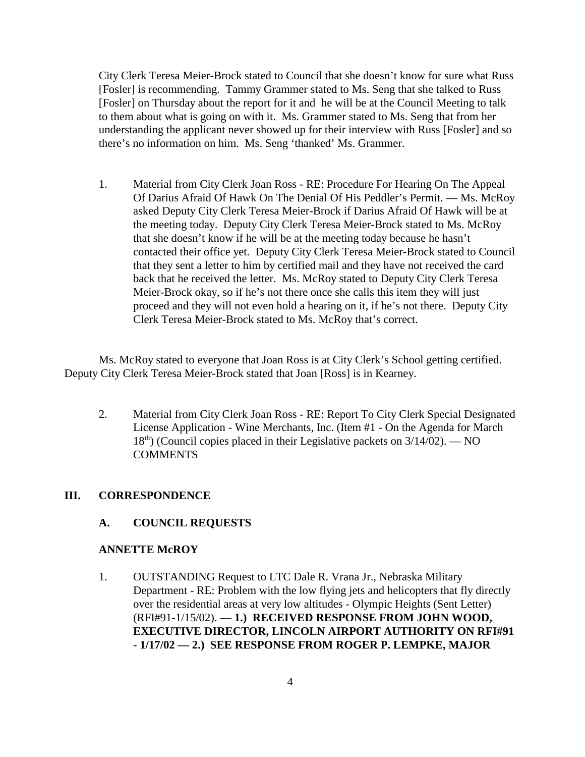City Clerk Teresa Meier-Brock stated to Council that she doesn't know for sure what Russ [Fosler] is recommending. Tammy Grammer stated to Ms. Seng that she talked to Russ [Fosler] on Thursday about the report for it and he will be at the Council Meeting to talk to them about what is going on with it. Ms. Grammer stated to Ms. Seng that from her understanding the applicant never showed up for their interview with Russ [Fosler] and so there's no information on him. Ms. Seng 'thanked' Ms. Grammer.

1. Material from City Clerk Joan Ross - RE: Procedure For Hearing On The Appeal Of Darius Afraid Of Hawk On The Denial Of His Peddler's Permit. — Ms. McRoy asked Deputy City Clerk Teresa Meier-Brock if Darius Afraid Of Hawk will be at the meeting today. Deputy City Clerk Teresa Meier-Brock stated to Ms. McRoy that she doesn't know if he will be at the meeting today because he hasn't contacted their office yet. Deputy City Clerk Teresa Meier-Brock stated to Council that they sent a letter to him by certified mail and they have not received the card back that he received the letter. Ms. McRoy stated to Deputy City Clerk Teresa Meier-Brock okay, so if he's not there once she calls this item they will just proceed and they will not even hold a hearing on it, if he's not there. Deputy City Clerk Teresa Meier-Brock stated to Ms. McRoy that's correct.

Ms. McRoy stated to everyone that Joan Ross is at City Clerk's School getting certified. Deputy City Clerk Teresa Meier-Brock stated that Joan [Ross] is in Kearney.

2. Material from City Clerk Joan Ross - RE: Report To City Clerk Special Designated License Application - Wine Merchants, Inc. (Item #1 - On the Agenda for March  $18<sup>th</sup>$  (Council copies placed in their Legislative packets on  $3/14/02$ ). — NO **COMMENTS** 

#### **III. CORRESPONDENCE**

#### **A. COUNCIL REQUESTS**

## **ANNETTE McROY**

1. OUTSTANDING Request to LTC Dale R. Vrana Jr., Nebraska Military Department - RE: Problem with the low flying jets and helicopters that fly directly over the residential areas at very low altitudes - Olympic Heights (Sent Letter) (RFI#91-1/15/02). — **1.) RECEIVED RESPONSE FROM JOHN WOOD, EXECUTIVE DIRECTOR, LINCOLN AIRPORT AUTHORITY ON RFI#91 - 1/17/02 — 2.) SEE RESPONSE FROM ROGER P. LEMPKE, MAJOR**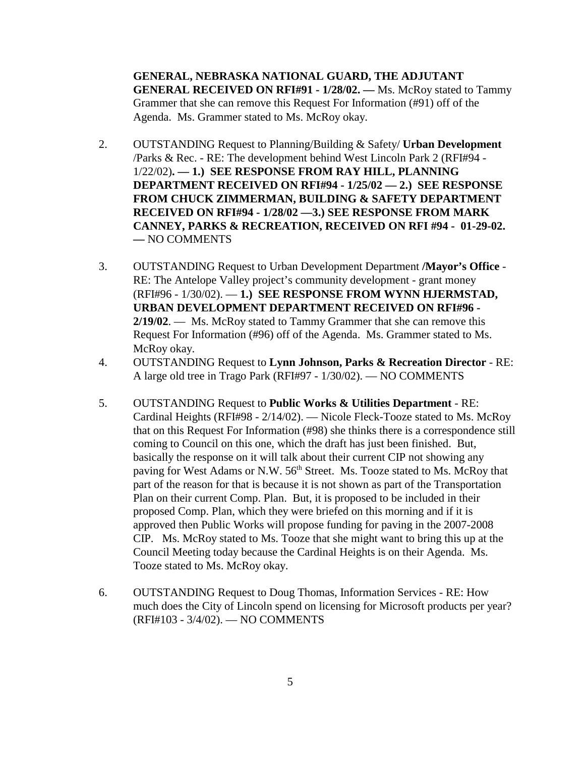**GENERAL, NEBRASKA NATIONAL GUARD, THE ADJUTANT GENERAL RECEIVED ON RFI#91 - 1/28/02. —** Ms. McRoy stated to Tammy Grammer that she can remove this Request For Information (#91) off of the Agenda. Ms. Grammer stated to Ms. McRoy okay.

- 2. OUTSTANDING Request to Planning/Building & Safety/ **Urban Development** /Parks & Rec. - RE: The development behind West Lincoln Park 2 (RFI#94 - 1/22/02)**. — 1.) SEE RESPONSE FROM RAY HILL, PLANNING DEPARTMENT RECEIVED ON RFI#94 - 1/25/02 — 2.) SEE RESPONSE FROM CHUCK ZIMMERMAN, BUILDING & SAFETY DEPARTMENT RECEIVED ON RFI#94 - 1/28/02 —3.) SEE RESPONSE FROM MARK CANNEY, PARKS & RECREATION, RECEIVED ON RFI #94 - 01-29-02. —** NO COMMENTS
- 3. OUTSTANDING Request to Urban Development Department **/Mayor's Office** RE: The Antelope Valley project's community development - grant money (RFI#96 - 1/30/02). — **1.) SEE RESPONSE FROM WYNN HJERMSTAD, URBAN DEVELOPMENT DEPARTMENT RECEIVED ON RFI#96 - 2/19/02**. — Ms. McRoy stated to Tammy Grammer that she can remove this Request For Information (#96) off of the Agenda. Ms. Grammer stated to Ms. McRoy okay.
- 4. OUTSTANDING Request to **Lynn Johnson, Parks & Recreation Director** RE: A large old tree in Trago Park (RFI#97 - 1/30/02). — NO COMMENTS
- 5. OUTSTANDING Request to **Public Works & Utilities Department** RE: Cardinal Heights (RFI#98 - 2/14/02). — Nicole Fleck-Tooze stated to Ms. McRoy that on this Request For Information (#98) she thinks there is a correspondence still coming to Council on this one, which the draft has just been finished. But, basically the response on it will talk about their current CIP not showing any paving for West Adams or N.W. 56<sup>th</sup> Street. Ms. Tooze stated to Ms. McRoy that part of the reason for that is because it is not shown as part of the Transportation Plan on their current Comp. Plan. But, it is proposed to be included in their proposed Comp. Plan, which they were briefed on this morning and if it is approved then Public Works will propose funding for paving in the 2007-2008 CIP. Ms. McRoy stated to Ms. Tooze that she might want to bring this up at the Council Meeting today because the Cardinal Heights is on their Agenda. Ms. Tooze stated to Ms. McRoy okay.
- 6. OUTSTANDING Request to Doug Thomas, Information Services RE: How much does the City of Lincoln spend on licensing for Microsoft products per year? (RFI#103 - 3/4/02). — NO COMMENTS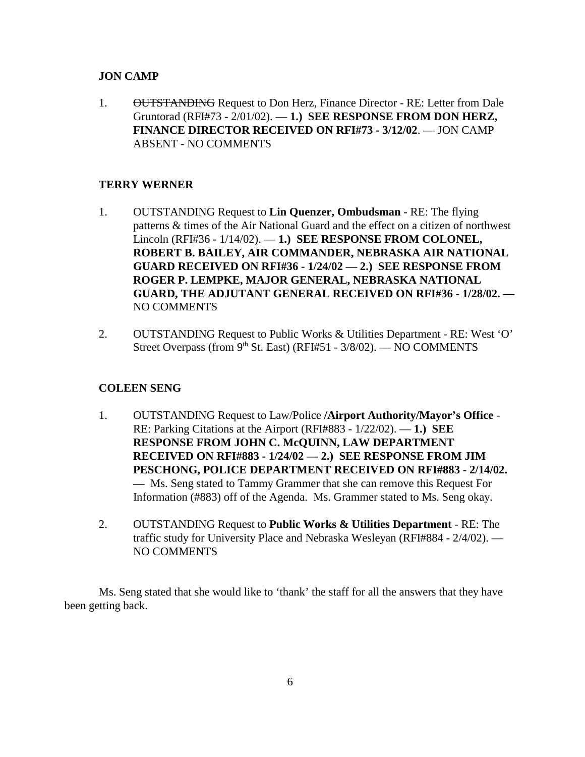## **JON CAMP**

1. OUTSTANDING Request to Don Herz, Finance Director - RE: Letter from Dale Gruntorad (RFI#73 - 2/01/02). — **1.) SEE RESPONSE FROM DON HERZ, FINANCE DIRECTOR RECEIVED ON RFI#73 - 3/12/02**. — JON CAMP ABSENT - NO COMMENTS

## **TERRY WERNER**

- 1. OUTSTANDING Request to **Lin Quenzer, Ombudsman** RE: The flying patterns & times of the Air National Guard and the effect on a citizen of northwest Lincoln (RFI#36 - 1/14/02). — **1.) SEE RESPONSE FROM COLONEL, ROBERT B. BAILEY, AIR COMMANDER, NEBRASKA AIR NATIONAL GUARD RECEIVED ON RFI#36 - 1/24/02 — 2.) SEE RESPONSE FROM ROGER P. LEMPKE, MAJOR GENERAL, NEBRASKA NATIONAL GUARD, THE ADJUTANT GENERAL RECEIVED ON RFI#36 - 1/28/02. —**  NO COMMENTS
- 2. OUTSTANDING Request to Public Works & Utilities Department RE: West 'O' Street Overpass (from  $9<sup>th</sup>$  St. East) (RFI#51 - 3/8/02). — NO COMMENTS

## **COLEEN SENG**

- 1. OUTSTANDING Request to Law/Police **/Airport Authority/Mayor's Office** RE: Parking Citations at the Airport (RFI#883 - 1/22/02). — **1.) SEE RESPONSE FROM JOHN C. McQUINN, LAW DEPARTMENT RECEIVED ON RFI#883 - 1/24/02 — 2.) SEE RESPONSE FROM JIM PESCHONG, POLICE DEPARTMENT RECEIVED ON RFI#883 - 2/14/02. —** Ms. Seng stated to Tammy Grammer that she can remove this Request For Information (#883) off of the Agenda. Ms. Grammer stated to Ms. Seng okay.
- 2. OUTSTANDING Request to **Public Works & Utilities Department** RE: The traffic study for University Place and Nebraska Wesleyan (RFI#884 - 2/4/02). — NO COMMENTS

Ms. Seng stated that she would like to 'thank' the staff for all the answers that they have been getting back.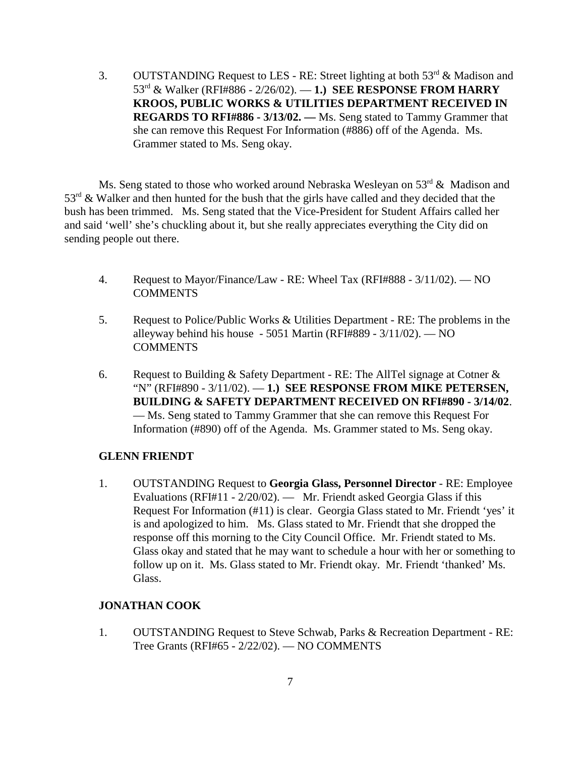3. OUTSTANDING Request to LES - RE: Street lighting at both  $53<sup>rd</sup>$  & Madison and 53rd & Walker (RFI#886 - 2/26/02). — **1.) SEE RESPONSE FROM HARRY KROOS, PUBLIC WORKS & UTILITIES DEPARTMENT RECEIVED IN REGARDS TO RFI#886 - 3/13/02. —** Ms. Seng stated to Tammy Grammer that she can remove this Request For Information (#886) off of the Agenda. Ms. Grammer stated to Ms. Seng okay.

Ms. Seng stated to those who worked around Nebraska Wesleyan on 53<sup>rd</sup> & Madison and  $53<sup>rd</sup>$  & Walker and then hunted for the bush that the girls have called and they decided that the bush has been trimmed. Ms. Seng stated that the Vice-President for Student Affairs called her and said 'well' she's chuckling about it, but she really appreciates everything the City did on sending people out there.

- 4. Request to Mayor/Finance/Law RE: Wheel Tax (RFI#888 3/11/02). NO **COMMENTS**
- 5. Request to Police/Public Works & Utilities Department RE: The problems in the alleyway behind his house - 5051 Martin (RFI#889 - 3/11/02). — NO **COMMENTS**
- 6. Request to Building  $&$  Safety Department RE: The AllTel signage at Cotner  $&$ "N" (RFI#890 - 3/11/02). — **1.) SEE RESPONSE FROM MIKE PETERSEN, BUILDING & SAFETY DEPARTMENT RECEIVED ON RFI#890 - 3/14/02**. — Ms. Seng stated to Tammy Grammer that she can remove this Request For Information (#890) off of the Agenda. Ms. Grammer stated to Ms. Seng okay.

#### **GLENN FRIENDT**

1. OUTSTANDING Request to **Georgia Glass, Personnel Director** - RE: Employee Evaluations (RFI#11 - 2/20/02). — Mr. Friendt asked Georgia Glass if this Request For Information (#11) is clear. Georgia Glass stated to Mr. Friendt 'yes' it is and apologized to him. Ms. Glass stated to Mr. Friendt that she dropped the response off this morning to the City Council Office. Mr. Friendt stated to Ms. Glass okay and stated that he may want to schedule a hour with her or something to follow up on it. Ms. Glass stated to Mr. Friendt okay. Mr. Friendt 'thanked' Ms. Glass.

### **JONATHAN COOK**

1. OUTSTANDING Request to Steve Schwab, Parks & Recreation Department - RE: Tree Grants (RFI#65 - 2/22/02). — NO COMMENTS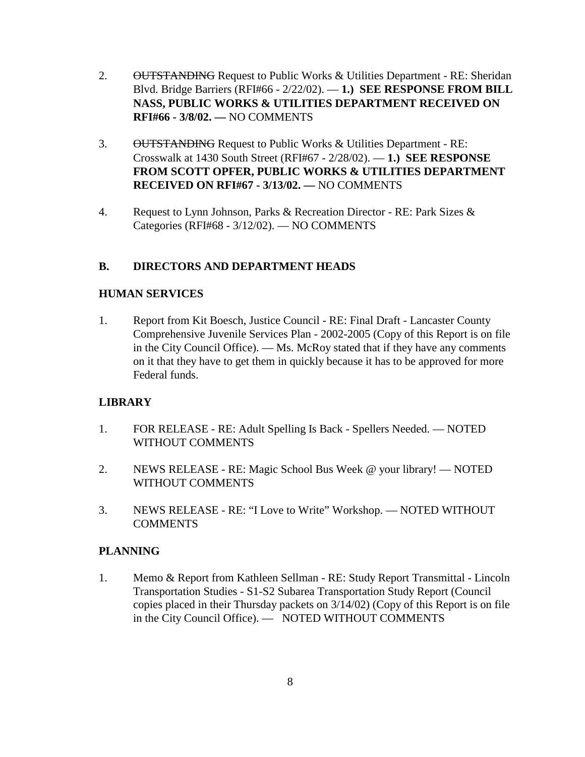- 2. OUTSTANDING Request to Public Works & Utilities Department RE: Sheridan Blvd. Bridge Barriers (RFI#66 - 2/22/02). — **1.) SEE RESPONSE FROM BILL NASS, PUBLIC WORKS & UTILITIES DEPARTMENT RECEIVED ON RFI#66 - 3/8/02. —** NO COMMENTS
- 3. OUTSTANDING Request to Public Works & Utilities Department RE: Crosswalk at 1430 South Street (RFI#67 - 2/28/02). — **1.) SEE RESPONSE FROM SCOTT OPFER, PUBLIC WORKS & UTILITIES DEPARTMENT RECEIVED ON RFI#67 - 3/13/02. —** NO COMMENTS
- 4. Request to Lynn Johnson, Parks & Recreation Director RE: Park Sizes & Categories (RFI#68 - 3/12/02). — NO COMMENTS

## **B. DIRECTORS AND DEPARTMENT HEADS**

## **HUMAN SERVICES**

1. Report from Kit Boesch, Justice Council - RE: Final Draft - Lancaster County Comprehensive Juvenile Services Plan - 2002-2005 (Copy of this Report is on file in the City Council Office). — Ms. McRoy stated that if they have any comments on it that they have to get them in quickly because it has to be approved for more Federal funds.

## **LIBRARY**

- 1. FOR RELEASE RE: Adult Spelling Is Back Spellers Needed. NOTED WITHOUT COMMENTS
- 2. NEWS RELEASE RE: Magic School Bus Week @ your library! NOTED WITHOUT COMMENTS
- 3. NEWS RELEASE RE: "I Love to Write" Workshop. NOTED WITHOUT COMMENTS

#### **PLANNING**

1. Memo & Report from Kathleen Sellman - RE: Study Report Transmittal - Lincoln Transportation Studies - S1-S2 Subarea Transportation Study Report (Council copies placed in their Thursday packets on 3/14/02) (Copy of this Report is on file in the City Council Office). — NOTED WITHOUT COMMENTS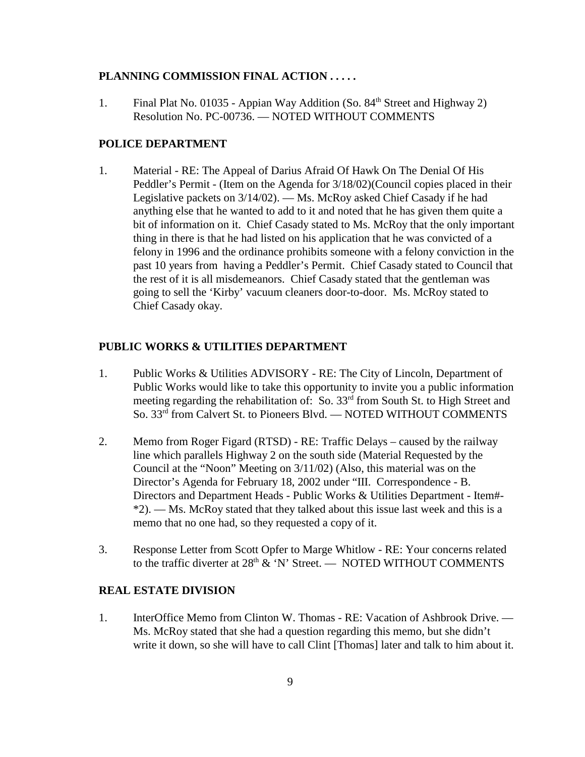#### **PLANNING COMMISSION FINAL ACTION . . . . .**

1. Final Plat No. 01035 - Appian Way Addition (So.  $84<sup>th</sup>$  Street and Highway 2) Resolution No. PC-00736. — NOTED WITHOUT COMMENTS

#### **POLICE DEPARTMENT**

1. Material - RE: The Appeal of Darius Afraid Of Hawk On The Denial Of His Peddler's Permit - (Item on the Agenda for 3/18/02)(Council copies placed in their Legislative packets on 3/14/02). — Ms. McRoy asked Chief Casady if he had anything else that he wanted to add to it and noted that he has given them quite a bit of information on it. Chief Casady stated to Ms. McRoy that the only important thing in there is that he had listed on his application that he was convicted of a felony in 1996 and the ordinance prohibits someone with a felony conviction in the past 10 years from having a Peddler's Permit. Chief Casady stated to Council that the rest of it is all misdemeanors. Chief Casady stated that the gentleman was going to sell the 'Kirby' vacuum cleaners door-to-door. Ms. McRoy stated to Chief Casady okay.

## **PUBLIC WORKS & UTILITIES DEPARTMENT**

- 1. Public Works & Utilities ADVISORY RE: The City of Lincoln, Department of Public Works would like to take this opportunity to invite you a public information meeting regarding the rehabilitation of: So. 33rd from South St. to High Street and So. 33<sup>rd</sup> from Calvert St. to Pioneers Blvd. — NOTED WITHOUT COMMENTS
- 2. Memo from Roger Figard (RTSD) RE: Traffic Delays caused by the railway line which parallels Highway 2 on the south side (Material Requested by the Council at the "Noon" Meeting on 3/11/02) (Also, this material was on the Director's Agenda for February 18, 2002 under "III. Correspondence - B. Directors and Department Heads - Public Works & Utilities Department - Item#-  $*2$ .  $-$  Ms. McRoy stated that they talked about this issue last week and this is a memo that no one had, so they requested a copy of it.
- 3. Response Letter from Scott Opfer to Marge Whitlow RE: Your concerns related to the traffic diverter at  $28<sup>th</sup>$  & 'N' Street. — NOTED WITHOUT COMMENTS

#### **REAL ESTATE DIVISION**

1. InterOffice Memo from Clinton W. Thomas - RE: Vacation of Ashbrook Drive. — Ms. McRoy stated that she had a question regarding this memo, but she didn't write it down, so she will have to call Clint [Thomas] later and talk to him about it.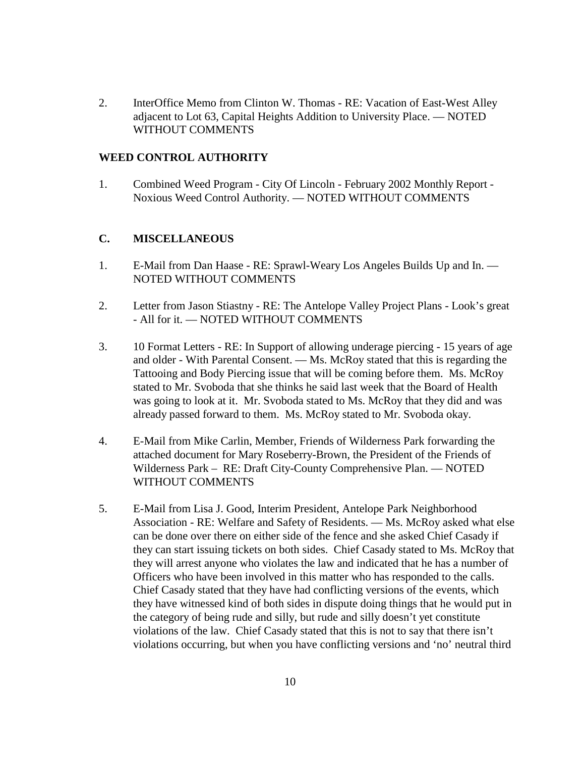2. InterOffice Memo from Clinton W. Thomas - RE: Vacation of East-West Alley adjacent to Lot 63, Capital Heights Addition to University Place. — NOTED WITHOUT COMMENTS

#### **WEED CONTROL AUTHORITY**

1. Combined Weed Program - City Of Lincoln - February 2002 Monthly Report - Noxious Weed Control Authority. — NOTED WITHOUT COMMENTS

## **C. MISCELLANEOUS**

- 1. E-Mail from Dan Haase RE: Sprawl-Weary Los Angeles Builds Up and In. NOTED WITHOUT COMMENTS
- 2. Letter from Jason Stiastny RE: The Antelope Valley Project Plans Look's great - All for it. — NOTED WITHOUT COMMENTS
- 3. 10 Format Letters RE: In Support of allowing underage piercing 15 years of age and older - With Parental Consent. — Ms. McRoy stated that this is regarding the Tattooing and Body Piercing issue that will be coming before them. Ms. McRoy stated to Mr. Svoboda that she thinks he said last week that the Board of Health was going to look at it. Mr. Svoboda stated to Ms. McRoy that they did and was already passed forward to them. Ms. McRoy stated to Mr. Svoboda okay.
- 4. E-Mail from Mike Carlin, Member, Friends of Wilderness Park forwarding the attached document for Mary Roseberry-Brown, the President of the Friends of Wilderness Park – RE: Draft City-County Comprehensive Plan. — NOTED WITHOUT COMMENTS
- 5. E-Mail from Lisa J. Good, Interim President, Antelope Park Neighborhood Association - RE: Welfare and Safety of Residents. — Ms. McRoy asked what else can be done over there on either side of the fence and she asked Chief Casady if they can start issuing tickets on both sides. Chief Casady stated to Ms. McRoy that they will arrest anyone who violates the law and indicated that he has a number of Officers who have been involved in this matter who has responded to the calls. Chief Casady stated that they have had conflicting versions of the events, which they have witnessed kind of both sides in dispute doing things that he would put in the category of being rude and silly, but rude and silly doesn't yet constitute violations of the law. Chief Casady stated that this is not to say that there isn't violations occurring, but when you have conflicting versions and 'no' neutral third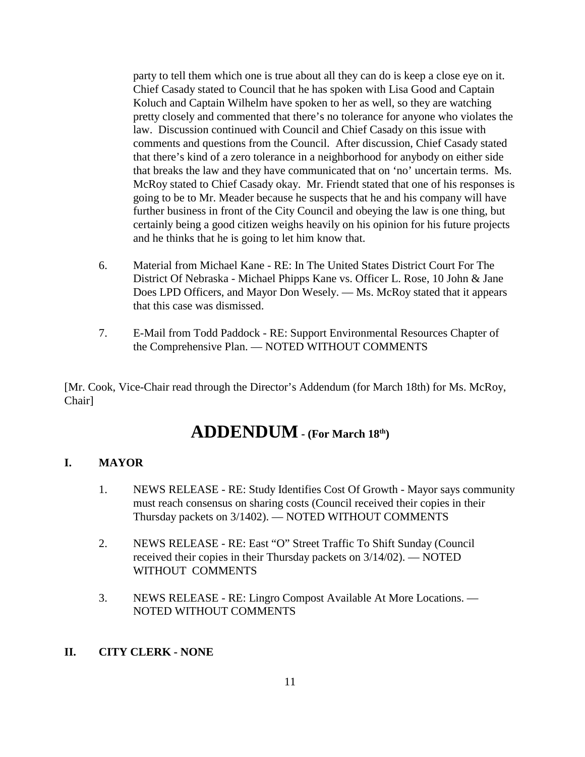party to tell them which one is true about all they can do is keep a close eye on it. Chief Casady stated to Council that he has spoken with Lisa Good and Captain Koluch and Captain Wilhelm have spoken to her as well, so they are watching pretty closely and commented that there's no tolerance for anyone who violates the law. Discussion continued with Council and Chief Casady on this issue with comments and questions from the Council. After discussion, Chief Casady stated that there's kind of a zero tolerance in a neighborhood for anybody on either side that breaks the law and they have communicated that on 'no' uncertain terms. Ms. McRoy stated to Chief Casady okay. Mr. Friendt stated that one of his responses is going to be to Mr. Meader because he suspects that he and his company will have further business in front of the City Council and obeying the law is one thing, but certainly being a good citizen weighs heavily on his opinion for his future projects and he thinks that he is going to let him know that.

- 6. Material from Michael Kane RE: In The United States District Court For The District Of Nebraska - Michael Phipps Kane vs. Officer L. Rose, 10 John & Jane Does LPD Officers, and Mayor Don Wesely. — Ms. McRoy stated that it appears that this case was dismissed.
- 7. E-Mail from Todd Paddock RE: Support Environmental Resources Chapter of the Comprehensive Plan. — NOTED WITHOUT COMMENTS

[Mr. Cook, Vice-Chair read through the Director's Addendum (for March 18th) for Ms. McRoy, Chair]

# **ADDENDUM - (For March 18th)**

## **I. MAYOR**

- 1. NEWS RELEASE RE: Study Identifies Cost Of Growth Mayor says community must reach consensus on sharing costs (Council received their copies in their Thursday packets on 3/1402). — NOTED WITHOUT COMMENTS
- 2. NEWS RELEASE RE: East "O" Street Traffic To Shift Sunday (Council received their copies in their Thursday packets on 3/14/02). — NOTED WITHOUT COMMENTS
- 3. NEWS RELEASE RE: Lingro Compost Available At More Locations. NOTED WITHOUT COMMENTS
- **II. CITY CLERK NONE**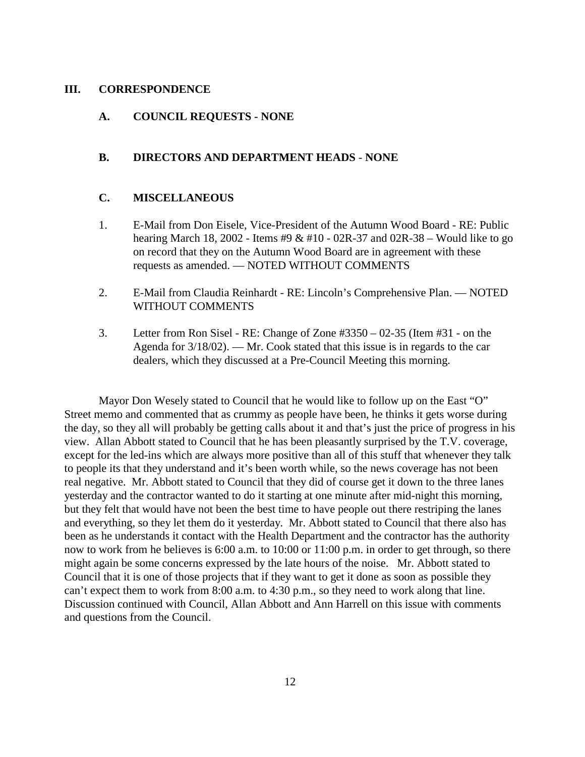#### **III. CORRESPONDENCE**

## **A. COUNCIL REQUESTS - NONE**

## **B. DIRECTORS AND DEPARTMENT HEADS** - **NONE**

#### **C. MISCELLANEOUS**

- 1. E-Mail from Don Eisele, Vice-President of the Autumn Wood Board RE: Public hearing March 18, 2002 - Items #9 & #10 - 02R-37 and 02R-38 – Would like to go on record that they on the Autumn Wood Board are in agreement with these requests as amended. — NOTED WITHOUT COMMENTS
- 2. E-Mail from Claudia Reinhardt RE: Lincoln's Comprehensive Plan. NOTED WITHOUT COMMENTS
- 3. Letter from Ron Sisel RE: Change of Zone #3350 02-35 (Item #31 on the Agenda for 3/18/02). — Mr. Cook stated that this issue is in regards to the car dealers, which they discussed at a Pre-Council Meeting this morning.

Mayor Don Wesely stated to Council that he would like to follow up on the East "O" Street memo and commented that as crummy as people have been, he thinks it gets worse during the day, so they all will probably be getting calls about it and that's just the price of progress in his view. Allan Abbott stated to Council that he has been pleasantly surprised by the T.V. coverage, except for the led-ins which are always more positive than all of this stuff that whenever they talk to people its that they understand and it's been worth while, so the news coverage has not been real negative. Mr. Abbott stated to Council that they did of course get it down to the three lanes yesterday and the contractor wanted to do it starting at one minute after mid-night this morning, but they felt that would have not been the best time to have people out there restriping the lanes and everything, so they let them do it yesterday. Mr. Abbott stated to Council that there also has been as he understands it contact with the Health Department and the contractor has the authority now to work from he believes is 6:00 a.m. to 10:00 or 11:00 p.m. in order to get through, so there might again be some concerns expressed by the late hours of the noise. Mr. Abbott stated to Council that it is one of those projects that if they want to get it done as soon as possible they can't expect them to work from 8:00 a.m. to 4:30 p.m., so they need to work along that line. Discussion continued with Council, Allan Abbott and Ann Harrell on this issue with comments and questions from the Council.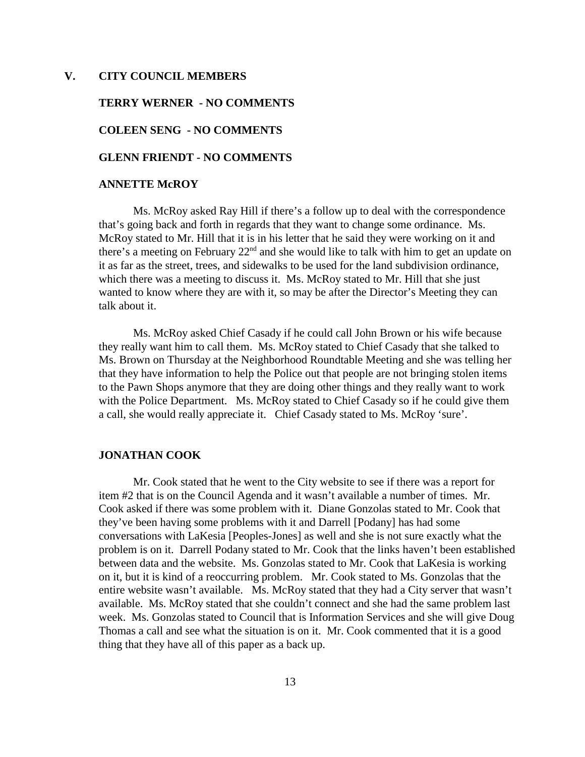#### **V. CITY COUNCIL MEMBERS**

#### **TERRY WERNER - NO COMMENTS**

#### **COLEEN SENG - NO COMMENTS**

## **GLENN FRIENDT - NO COMMENTS**

#### **ANNETTE McROY**

Ms. McRoy asked Ray Hill if there's a follow up to deal with the correspondence that's going back and forth in regards that they want to change some ordinance. Ms. McRoy stated to Mr. Hill that it is in his letter that he said they were working on it and there's a meeting on February  $22<sup>nd</sup>$  and she would like to talk with him to get an update on it as far as the street, trees, and sidewalks to be used for the land subdivision ordinance, which there was a meeting to discuss it. Ms. McRoy stated to Mr. Hill that she just wanted to know where they are with it, so may be after the Director's Meeting they can talk about it.

Ms. McRoy asked Chief Casady if he could call John Brown or his wife because they really want him to call them. Ms. McRoy stated to Chief Casady that she talked to Ms. Brown on Thursday at the Neighborhood Roundtable Meeting and she was telling her that they have information to help the Police out that people are not bringing stolen items to the Pawn Shops anymore that they are doing other things and they really want to work with the Police Department. Ms. McRoy stated to Chief Casady so if he could give them a call, she would really appreciate it. Chief Casady stated to Ms. McRoy 'sure'.

#### **JONATHAN COOK**

Mr. Cook stated that he went to the City website to see if there was a report for item #2 that is on the Council Agenda and it wasn't available a number of times. Mr. Cook asked if there was some problem with it. Diane Gonzolas stated to Mr. Cook that they've been having some problems with it and Darrell [Podany] has had some conversations with LaKesia [Peoples-Jones] as well and she is not sure exactly what the problem is on it. Darrell Podany stated to Mr. Cook that the links haven't been established between data and the website. Ms. Gonzolas stated to Mr. Cook that LaKesia is working on it, but it is kind of a reoccurring problem. Mr. Cook stated to Ms. Gonzolas that the entire website wasn't available. Ms. McRoy stated that they had a City server that wasn't available. Ms. McRoy stated that she couldn't connect and she had the same problem last week. Ms. Gonzolas stated to Council that is Information Services and she will give Doug Thomas a call and see what the situation is on it. Mr. Cook commented that it is a good thing that they have all of this paper as a back up.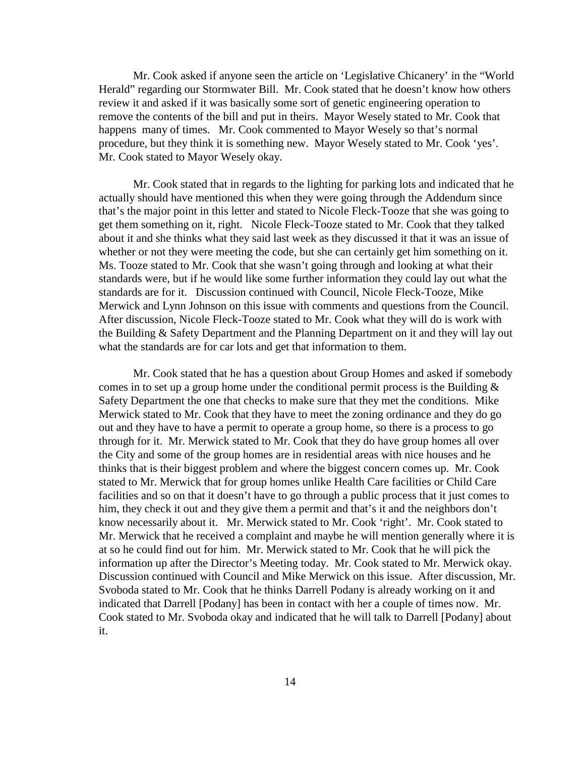Mr. Cook asked if anyone seen the article on 'Legislative Chicanery' in the "World Herald" regarding our Stormwater Bill. Mr. Cook stated that he doesn't know how others review it and asked if it was basically some sort of genetic engineering operation to remove the contents of the bill and put in theirs. Mayor Wesely stated to Mr. Cook that happens many of times. Mr. Cook commented to Mayor Wesely so that's normal procedure, but they think it is something new. Mayor Wesely stated to Mr. Cook 'yes'. Mr. Cook stated to Mayor Wesely okay.

Mr. Cook stated that in regards to the lighting for parking lots and indicated that he actually should have mentioned this when they were going through the Addendum since that's the major point in this letter and stated to Nicole Fleck-Tooze that she was going to get them something on it, right. Nicole Fleck-Tooze stated to Mr. Cook that they talked about it and she thinks what they said last week as they discussed it that it was an issue of whether or not they were meeting the code, but she can certainly get him something on it. Ms. Tooze stated to Mr. Cook that she wasn't going through and looking at what their standards were, but if he would like some further information they could lay out what the standards are for it. Discussion continued with Council, Nicole Fleck-Tooze, Mike Merwick and Lynn Johnson on this issue with comments and questions from the Council. After discussion, Nicole Fleck-Tooze stated to Mr. Cook what they will do is work with the Building & Safety Department and the Planning Department on it and they will lay out what the standards are for car lots and get that information to them.

Mr. Cook stated that he has a question about Group Homes and asked if somebody comes in to set up a group home under the conditional permit process is the Building  $\&$ Safety Department the one that checks to make sure that they met the conditions. Mike Merwick stated to Mr. Cook that they have to meet the zoning ordinance and they do go out and they have to have a permit to operate a group home, so there is a process to go through for it. Mr. Merwick stated to Mr. Cook that they do have group homes all over the City and some of the group homes are in residential areas with nice houses and he thinks that is their biggest problem and where the biggest concern comes up. Mr. Cook stated to Mr. Merwick that for group homes unlike Health Care facilities or Child Care facilities and so on that it doesn't have to go through a public process that it just comes to him, they check it out and they give them a permit and that's it and the neighbors don't know necessarily about it. Mr. Merwick stated to Mr. Cook 'right'. Mr. Cook stated to Mr. Merwick that he received a complaint and maybe he will mention generally where it is at so he could find out for him. Mr. Merwick stated to Mr. Cook that he will pick the information up after the Director's Meeting today. Mr. Cook stated to Mr. Merwick okay. Discussion continued with Council and Mike Merwick on this issue. After discussion, Mr. Svoboda stated to Mr. Cook that he thinks Darrell Podany is already working on it and indicated that Darrell [Podany] has been in contact with her a couple of times now. Mr. Cook stated to Mr. Svoboda okay and indicated that he will talk to Darrell [Podany] about it.